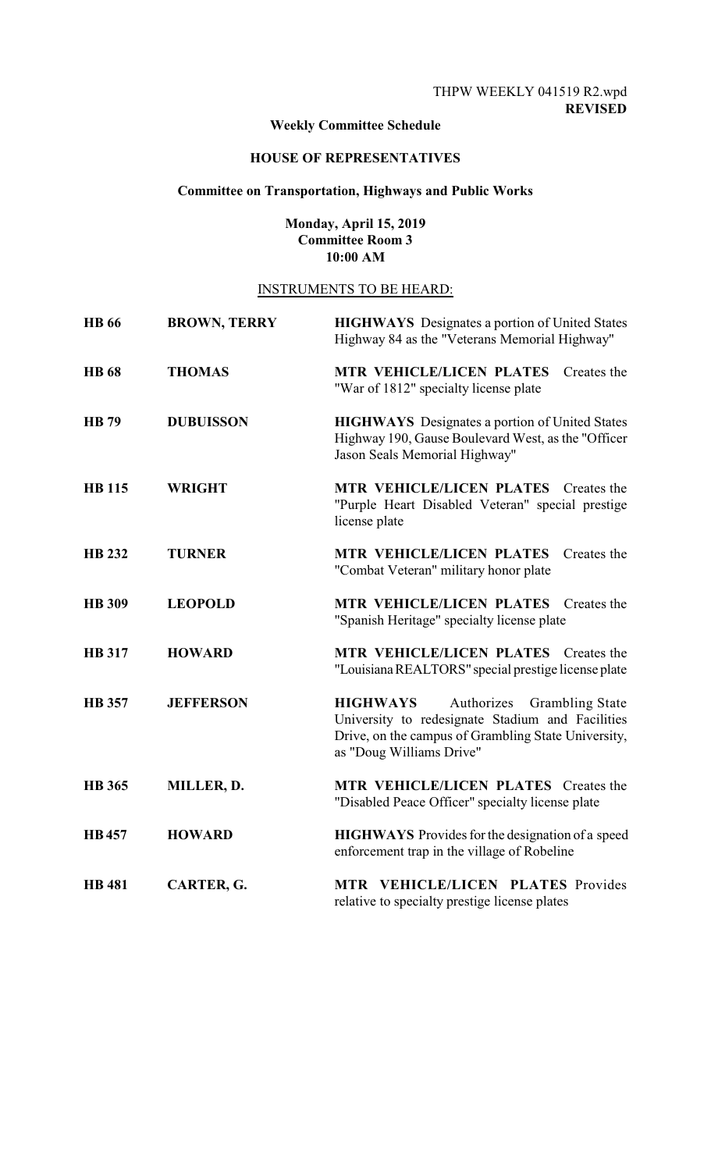# **Weekly Committee Schedule**

## **HOUSE OF REPRESENTATIVES**

## **Committee on Transportation, Highways and Public Works**

## **Monday, April 15, 2019 Committee Room 3 10:00 AM**

# INSTRUMENTS TO BE HEARD:

| <b>HB</b> 66  | <b>BROWN, TERRY</b> | <b>HIGHWAYS</b> Designates a portion of United States<br>Highway 84 as the "Veterans Memorial Highway"                                                                                         |
|---------------|---------------------|------------------------------------------------------------------------------------------------------------------------------------------------------------------------------------------------|
| <b>HB</b> 68  | <b>THOMAS</b>       | MTR VEHICLE/LICEN PLATES<br>Creates the<br>"War of 1812" specialty license plate                                                                                                               |
| <b>HB</b> 79  | <b>DUBUISSON</b>    | <b>HIGHWAYS</b> Designates a portion of United States<br>Highway 190, Gause Boulevard West, as the "Officer<br>Jason Seals Memorial Highway"                                                   |
| <b>HB</b> 115 | <b>WRIGHT</b>       | <b>MTR VEHICLE/LICEN PLATES</b> Creates the<br>"Purple Heart Disabled Veteran" special prestige<br>license plate                                                                               |
| <b>HB 232</b> | <b>TURNER</b>       | <b>MTR VEHICLE/LICEN PLATES</b><br>Creates the<br>"Combat Veteran" military honor plate                                                                                                        |
| <b>HB</b> 309 | <b>LEOPOLD</b>      | <b>MTR VEHICLE/LICEN PLATES</b><br>Creates the<br>"Spanish Heritage" specialty license plate                                                                                                   |
| <b>HB</b> 317 | <b>HOWARD</b>       | MTR VEHICLE/LICEN PLATES Creates the<br>"Louisiana REALTORS" special prestige license plate                                                                                                    |
| <b>HB</b> 357 | <b>JEFFERSON</b>    | <b>HIGHWAYS</b><br>Authorizes<br><b>Grambling State</b><br>University to redesignate Stadium and Facilities<br>Drive, on the campus of Grambling State University,<br>as "Doug Williams Drive" |
| <b>HB</b> 365 | MILLER, D.          | MTR VEHICLE/LICEN PLATES Creates the<br>"Disabled Peace Officer" specialty license plate                                                                                                       |
| <b>HB457</b>  | <b>HOWARD</b>       | <b>HIGHWAYS</b> Provides for the designation of a speed<br>enforcement trap in the village of Robeline                                                                                         |
| <b>HB</b> 481 | CARTER, G.          | MTR VEHICLE/LICEN PLATES Provides<br>relative to specialty prestige license plates                                                                                                             |